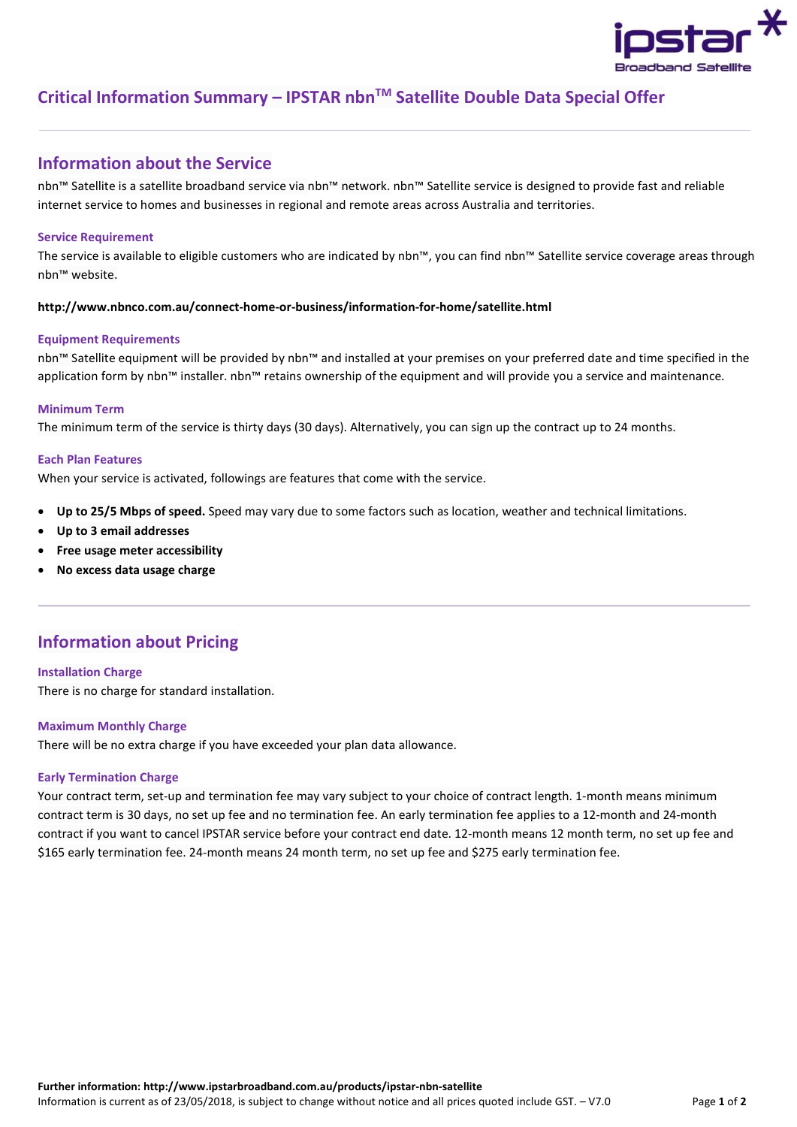

# Critical Information Summary – IPSTAR nbn™ Satellite Double Data Special Offer

### Information about the Service

nbn™ Satellite is a satellite broadband service via nbn™ network. nbn™ Satellite service is designed to provide fast and reliable internet service to homes and businesses in regional and remote areas across Australia and territories.

### Service Requirement

The service is available to eligible customers who are indicated by nbn™, you can find nbn™ Satellite service coverage areas through nbn™ website.

### http://www.nbnco.com.au/connect-home-or-business/information-for-home/satellite.html

### Equipment Requirements

nbn™ Satellite equipment will be provided by nbn™ and installed at your premises on your preferred date and time specified in the application form by nbn™ installer. nbn™ retains ownership of the equipment and will provide you a service and maintenance.

### Minimum Term

The minimum term of the service is thirty days (30 days). Alternatively, you can sign up the contract up to 24 months.

### Each Plan Features

When your service is activated, followings are features that come with the service.

- Up to 25/5 Mbps of speed. Speed may vary due to some factors such as location, weather and technical limitations.
- Up to 3 email addresses
- Free usage meter accessibility
- No excess data usage charge

### Information about Pricing

Installation Charge There is no charge for standard installation.

### Maximum Monthly Charge

There will be no extra charge if you have exceeded your plan data allowance.

### Early Termination Charge

Your contract term, set-up and termination fee may vary subject to your choice of contract length. 1-month means minimum contract term is 30 days, no set up fee and no termination fee. An early termination fee applies to a 12-month and 24-month contract if you want to cancel IPSTAR service before your contract end date. 12-month means 12 month term, no set up fee and \$165 early termination fee. 24-month means 24 month term, no set up fee and \$275 early termination fee.